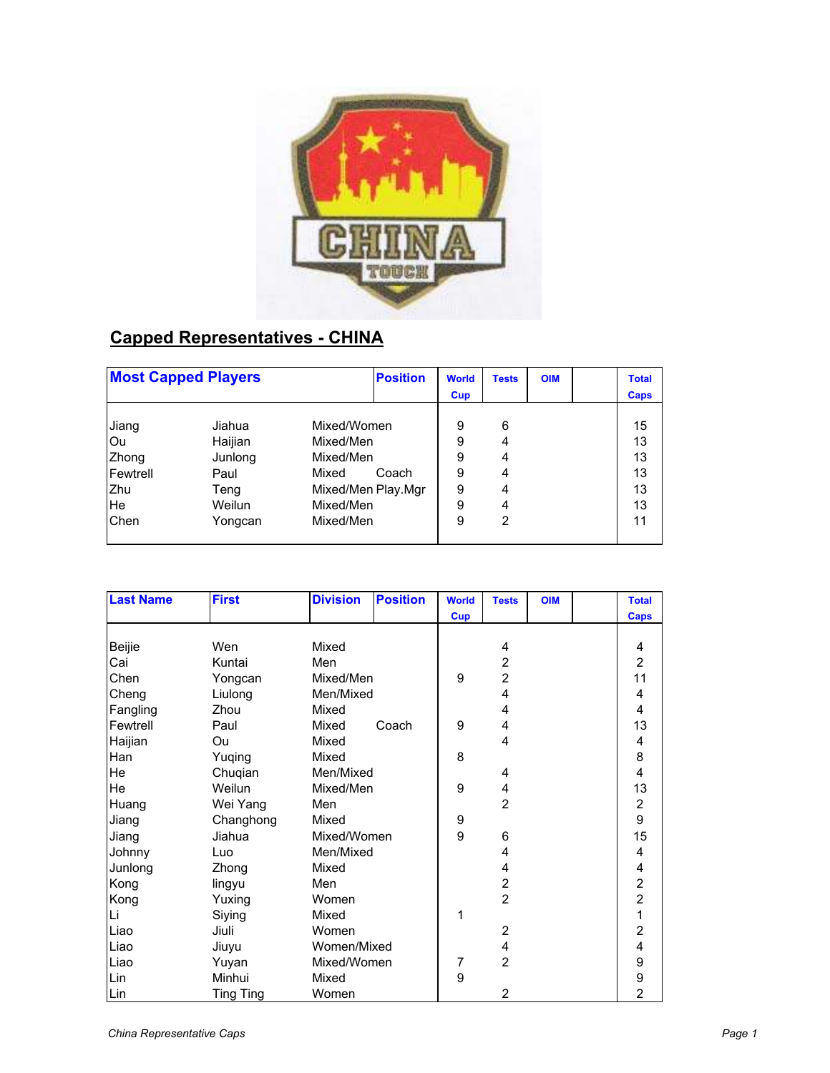

## **Capped Representatives - CHINA**

| <b>Most Capped Players</b> |         |                    | <b>Position</b> | <b>World</b> | <b>Tests</b> | <b>OIM</b> | <b>Total</b> |
|----------------------------|---------|--------------------|-----------------|--------------|--------------|------------|--------------|
|                            |         |                    |                 | Cup          |              |            | <b>Caps</b>  |
| Jiang                      | Jiahua  | Mixed/Women        |                 | 9            | 6            |            | 15           |
| lOu                        | Haijian | Mixed/Men          |                 | 9            | 4            |            | 13           |
| Zhong                      | Junlong | Mixed/Men          |                 | 9            | 4            |            | 13           |
| Fewtrell                   | Paul    | Mixed              | Coach           | 9            | 4            |            | 13           |
| Zhu                        | Teng    | Mixed/Men Play.Mgr |                 | 9            | 4            |            | 13           |
| <b>He</b>                  | Weilun  | Mixed/Men          |                 | 9            | 4            |            | 13           |
| Chen                       | Yongcan | Mixed/Men          |                 | 9            | 2            |            | 11           |
|                            |         |                    |                 |              |              |            |              |

| <b>Last Name</b> | <b>First</b>     | <b>Division</b> | <b>Position</b> | <b>World</b> | <b>Tests</b>   | <b>OIM</b> | <b>Total</b>            |
|------------------|------------------|-----------------|-----------------|--------------|----------------|------------|-------------------------|
|                  |                  |                 |                 | <b>Cup</b>   |                |            | <b>Caps</b>             |
|                  |                  |                 |                 |              |                |            |                         |
| Beijie           | Wen              | Mixed           |                 |              | 4              |            | 4                       |
| Cai              | Kuntai           | Men             |                 |              | $\overline{2}$ |            | $\overline{2}$          |
| Chen             | Yongcan          | Mixed/Men       |                 | 9            | $\overline{2}$ |            | 11                      |
| Cheng            | Liulong          | Men/Mixed       |                 |              | 4              |            | 4                       |
| Fangling         | Zhou             | Mixed           |                 |              | 4              |            | 4                       |
| Fewtrell         | Paul             | Mixed           | Coach           | 9            | 4              |            | 13                      |
| Haijian          | Ou               | Mixed           |                 |              | 4              |            | 4                       |
| Han              | Yuqing           | Mixed           |                 | 8            |                |            | 8                       |
| He               | Chuqian          | Men/Mixed       |                 |              | 4              |            | 4                       |
| He               | Weilun           | Mixed/Men       |                 | 9            | 4              |            | 13                      |
| Huang            | Wei Yang         | Men             |                 |              | $\overline{2}$ |            | $\overline{\mathbf{c}}$ |
| Jiang            | Changhong        | Mixed           |                 | 9            |                |            | 9                       |
| Jiang            | Jiahua           | Mixed/Women     |                 | 9            | 6              |            | 15                      |
| Johnny           | Luo              | Men/Mixed       |                 |              | 4              |            | 4                       |
| Junlong          | Zhong            | Mixed           |                 |              | 4              |            | 4                       |
| Kong             | lingyu           | Men             |                 |              | $\overline{c}$ |            | $\frac{2}{2}$           |
| Kong             | Yuxing           | Women           |                 |              | $\overline{2}$ |            |                         |
| Li               | Siying           | Mixed           |                 | 1            |                |            | $\overline{1}$          |
| Liao             | Jiuli            | Women           |                 |              | $\overline{2}$ |            | $\overline{2}$          |
| Liao             | Jiuyu            | Women/Mixed     |                 |              | 4              |            | 4                       |
| Liao             | Yuyan            | Mixed/Women     |                 | 7            | $\overline{2}$ |            | 9                       |
| Lin              | Minhui           | Mixed           |                 | 9            |                |            | 9                       |
| Lin              | <b>Ting Ting</b> | Women           |                 |              | 2              |            | $\overline{2}$          |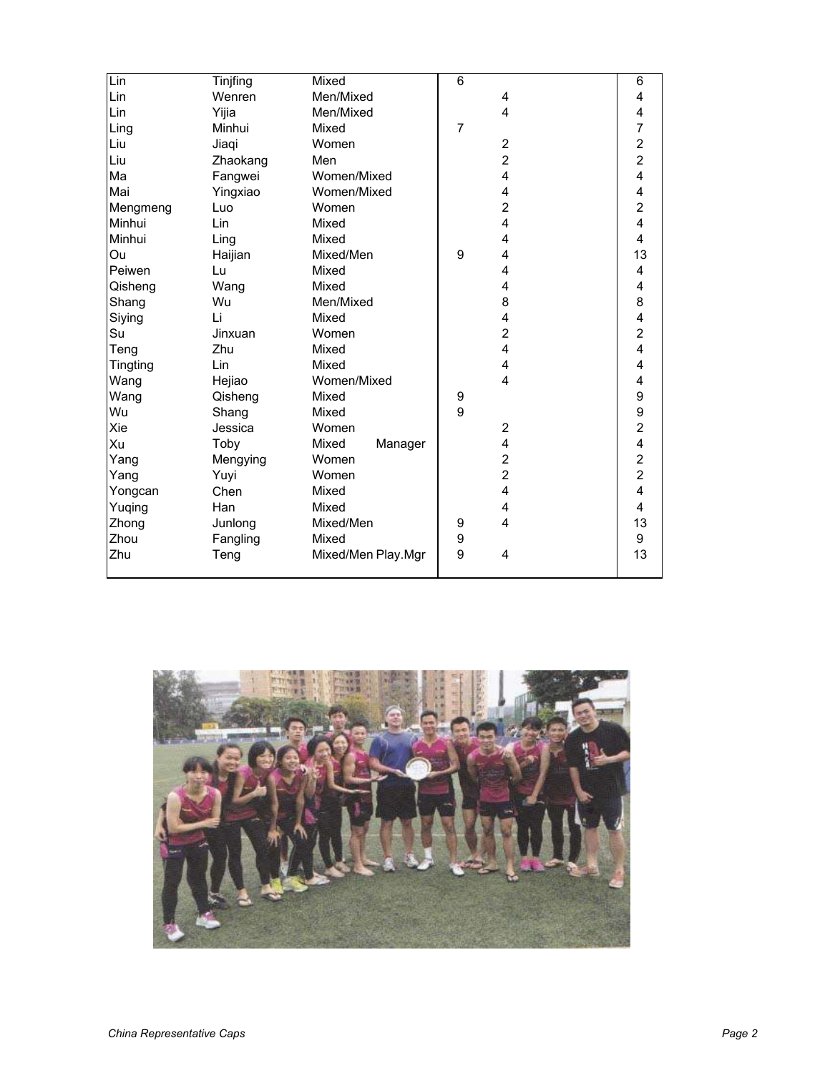| Lin             | Tinjfing | Mixed              | $6\phantom{1}6$ |                         | 6                       |
|-----------------|----------|--------------------|-----------------|-------------------------|-------------------------|
| Lin             | Wenren   | Men/Mixed          |                 | 4                       | 4                       |
| Lin             | Yijia    | Men/Mixed          |                 | 4                       | 4                       |
| Ling            | Minhui   | Mixed              | $\overline{7}$  |                         | 7                       |
| Liu             | Jiaqi    | Women              |                 | $\overline{\mathbf{c}}$ |                         |
| Liu             | Zhaokang | Men                |                 | $\overline{c}$          | 2<br>2<br>4             |
| Ma              | Fangwei  | Women/Mixed        |                 | 4                       |                         |
| Mai             | Yingxiao | Women/Mixed        |                 | 4                       | 4                       |
| Mengmeng        | Luo      | Women              |                 | $\overline{c}$          | $\overline{c}$          |
| Minhui          | Lin      | Mixed              |                 | 4                       | 4                       |
| Minhui          | Ling     | Mixed              |                 | 4                       | 4                       |
| Ou              | Haijian  | Mixed/Men          | 9               | 4                       | 13                      |
| Peiwen          | Lu       | Mixed              |                 | 4                       | 4                       |
| Qisheng         | Wang     | Mixed              |                 | 4                       | 4                       |
| Shang           | Wu       | Men/Mixed          |                 | 8                       | 8                       |
| Siying          | Li       | Mixed              |                 | 4                       | $\overline{\mathbf{4}}$ |
| Su              | Jinxuan  | Women              |                 | $\overline{c}$          | $\overline{c}$          |
| Teng            | Zhu      | Mixed              |                 | 4                       | 4                       |
| <b>Tingting</b> | Lin      | Mixed              |                 | 4                       | $\overline{\mathbf{4}}$ |
| Wang            | Hejiao   | Women/Mixed        |                 | 4                       | 4                       |
| Wang            | Qisheng  | Mixed              | 9               |                         | 9                       |
| Wu              | Shang    | Mixed              | 9               |                         | 9                       |
| Xie             | Jessica  | Women              |                 | $\overline{c}$          | $\overline{a}$          |
| Xu              | Toby     | Mixed<br>Manager   |                 | 4                       | 4                       |
| Yang            | Mengying | Women              |                 | $\overline{c}$          | $\overline{c}$          |
| Yang            | Yuyi     | Women              |                 | $\overline{2}$          | $\overline{2}$          |
| Yongcan         | Chen     | Mixed              |                 | 4                       | 4                       |
| Yuqing          | Han      | Mixed              |                 | 4                       | 4                       |
| Zhong           | Junlong  | Mixed/Men          | 9               | 4                       | 13                      |
| Zhou            | Fangling | Mixed              | 9               |                         | 9                       |
| Zhu             | Teng     | Mixed/Men Play.Mgr | 9               | 4                       | 13                      |
|                 |          |                    |                 |                         |                         |

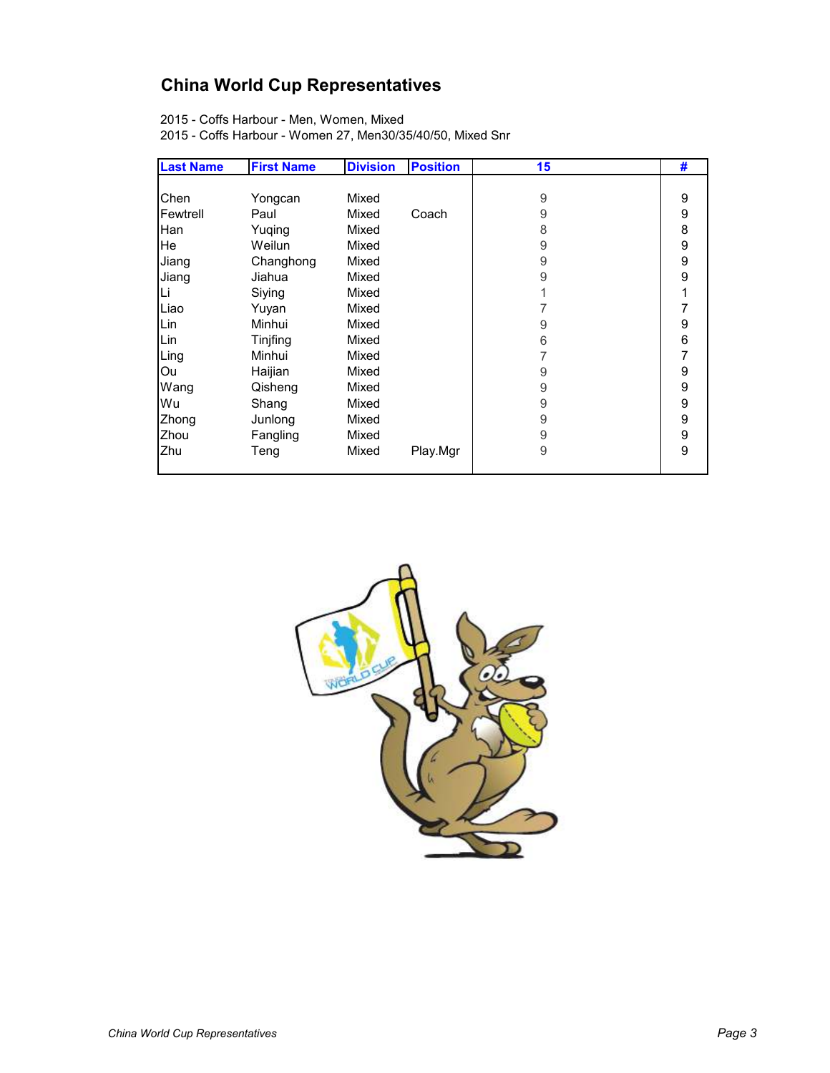## **China World Cup Representatives**

2015 - Coffs Harbour - Men, Women, Mixed

2015 - Coffs Harbour - Women 27, Men30/35/40/50, Mixed Snr

| <b>Last Name</b> | <b>First Name</b> | <b>Division</b> | <b>Position</b> | 15 | #                |
|------------------|-------------------|-----------------|-----------------|----|------------------|
|                  |                   |                 |                 |    |                  |
| Chen             | Yongcan           | Mixed           |                 | 9  | 9                |
| Fewtrell         | Paul              | Mixed           | Coach           | 9  | 9                |
| Han              | Yuqing            | Mixed           |                 | 8  | 8                |
| He               | Weilun            | Mixed           |                 | 9  | 9                |
| Jiang            | Changhong         | Mixed           |                 | 9  | $\boldsymbol{9}$ |
| Jiang            | Jiahua            | Mixed           |                 | 9  | 9                |
| Li               | Siying            | Mixed           |                 |    |                  |
| Liao             | Yuyan             | Mixed           |                 |    | 7                |
| Lin              | Minhui            | Mixed           |                 | 9  | 9                |
| Lin              | Tinjfing          | Mixed           |                 | 6  | 6                |
| Ling             | Minhui            | Mixed           |                 | 7  | $\overline{7}$   |
| Ou               | Haijian           | Mixed           |                 | 9  | 9                |
| Wang             | Qisheng           | Mixed           |                 | 9  | 9                |
| Wu               | Shang             | Mixed           |                 | 9  | 9                |
| Zhong            | Junlong           | Mixed           |                 | 9  | 9                |
| Zhou             | Fangling          | Mixed           |                 | 9  | 9                |
| Zhu              | Teng              | Mixed           | Play.Mgr        | 9  | 9                |
|                  |                   |                 |                 |    |                  |